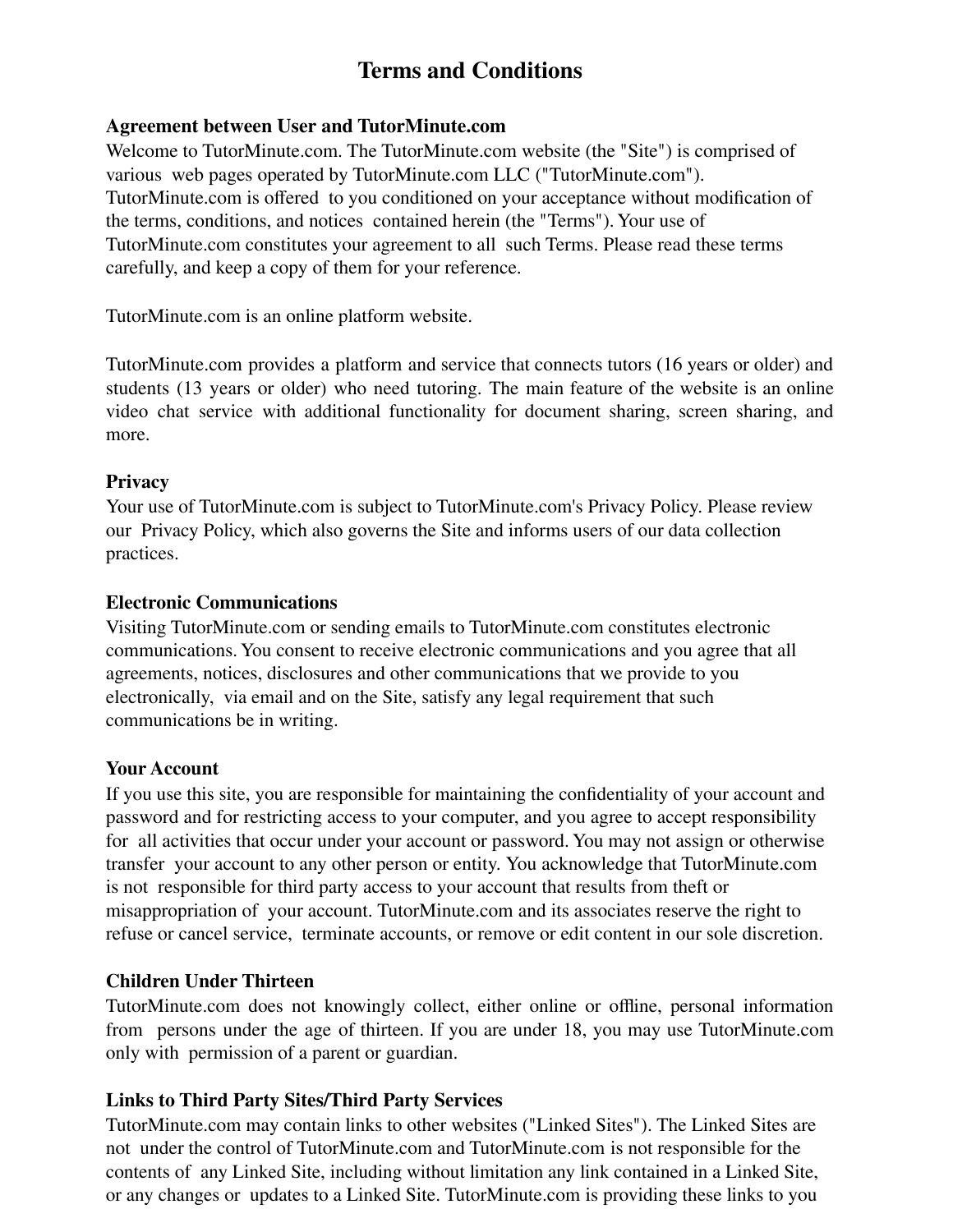# **Terms and Conditions**

## **Agreement between User and TutorMinute.com**

Welcome to TutorMinute.com. The TutorMinute.com website (the "Site") is comprised of various web pages operated by TutorMinute.com LLC ("TutorMinute.com"). TutorMinute.com is offered to you conditioned on your acceptance without modification of the terms, conditions, and notices contained herein (the "Terms"). Your use of TutorMinute.com constitutes your agreement to all such Terms. Please read these terms carefully, and keep a copy of them for your reference.

TutorMinute.com is an online platform website.

TutorMinute.com provides a platform and service that connects tutors (16 years or older) and students (13 years or older) who need tutoring. The main feature of the website is an online video chat service with additional functionality for document sharing, screen sharing, and more.

## **Privacy**

Your use of TutorMinute.com is subject to TutorMinute.com's Privacy Policy. Please review our Privacy Policy, which also governs the Site and informs users of our data collection practices.

## **Electronic Communications**

Visiting TutorMinute.com or sending emails to TutorMinute.com constitutes electronic communications. You consent to receive electronic communications and you agree that all agreements, notices, disclosures and other communications that we provide to you electronically, via email and on the Site, satisfy any legal requirement that such communications be in writing.

# **Your Account**

If you use this site, you are responsible for maintaining the confidentiality of your account and password and for restricting access to your computer, and you agree to accept responsibility for all activities that occur under your account or password. You may not assign or otherwise transfer your account to any other person or entity. You acknowledge that TutorMinute.com is not responsible for third party access to your account that results from theft or misappropriation of your account. TutorMinute.com and its associates reserve the right to refuse or cancel service, terminate accounts, or remove or edit content in our sole discretion.

# **Children Under Thirteen**

TutorMinute.com does not knowingly collect, either online or offline, personal information from persons under the age of thirteen. If you are under 18, you may use TutorMinute.com only with permission of a parent or guardian.

# **Links to Third Party Sites/Third Party Services**

TutorMinute.com may contain links to other websites ("Linked Sites"). The Linked Sites are not under the control of TutorMinute.com and TutorMinute.com is not responsible for the contents of any Linked Site, including without limitation any link contained in a Linked Site, or any changes or updates to a Linked Site. TutorMinute.com is providing these links to you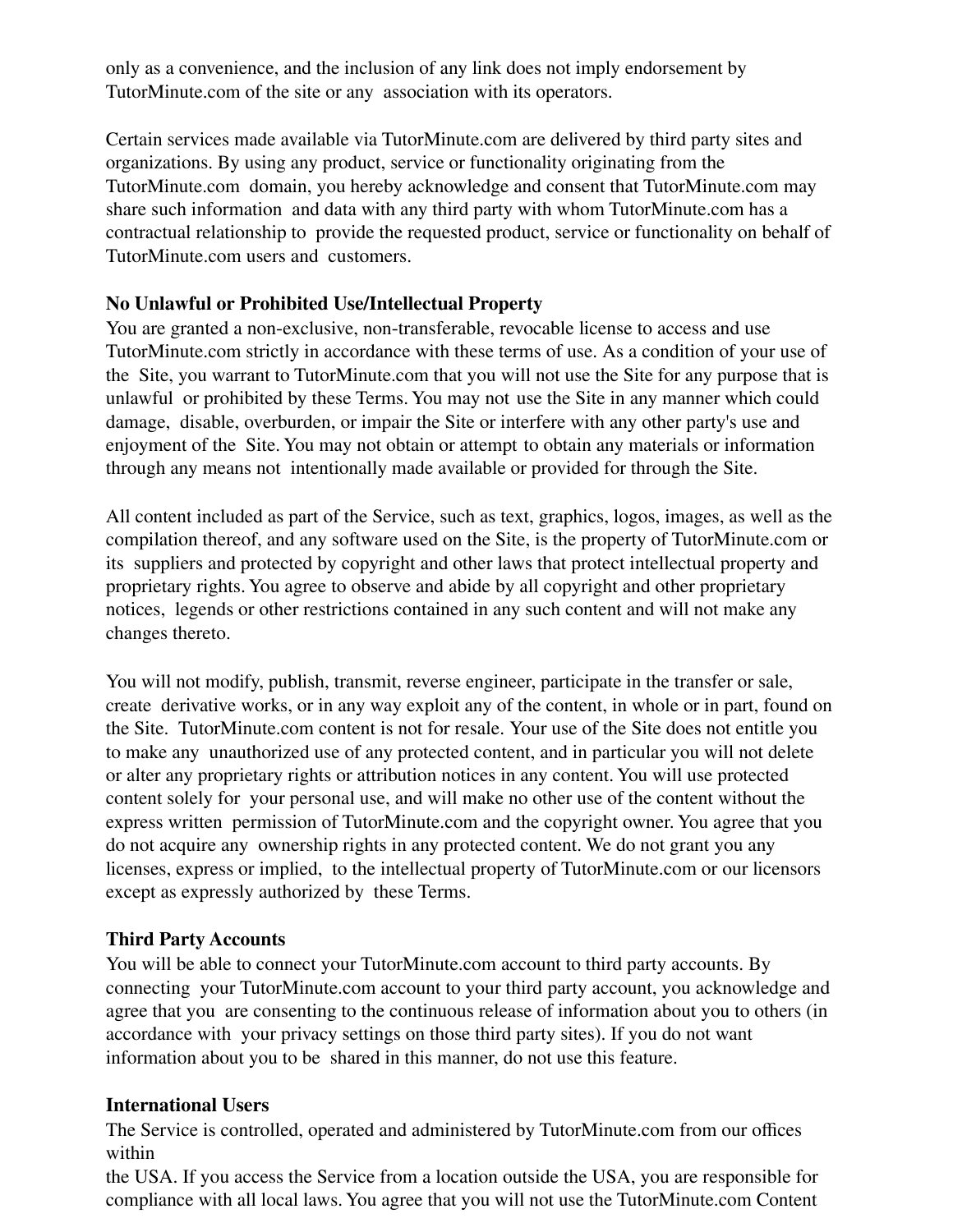only as a convenience, and the inclusion of any link does not imply endorsement by TutorMinute.com of the site or any association with its operators.

Certain services made available via TutorMinute.com are delivered by third party sites and organizations. By using any product, service or functionality originating from the TutorMinute.com domain, you hereby acknowledge and consent that TutorMinute.com may share such information and data with any third party with whom TutorMinute.com has a contractual relationship to provide the requested product, service or functionality on behalf of TutorMinute.com users and customers.

## **No Unlawful or Prohibited Use/Intellectual Property**

You are granted a non-exclusive, non-transferable, revocable license to access and use TutorMinute.com strictly in accordance with these terms of use. As a condition of your use of the Site, you warrant to TutorMinute.com that you will not use the Site for any purpose that is unlawful or prohibited by these Terms. You may not use the Site in any manner which could damage, disable, overburden, or impair the Site or interfere with any other party's use and enjoyment of the Site. You may not obtain or attempt to obtain any materials or information through any means not intentionally made available or provided for through the Site.

All content included as part of the Service, such as text, graphics, logos, images, as well as the compilation thereof, and any software used on the Site, is the property of TutorMinute.com or its suppliers and protected by copyright and other laws that protect intellectual property and proprietary rights. You agree to observe and abide by all copyright and other proprietary notices, legends or other restrictions contained in any such content and will not make any changes thereto.

You will not modify, publish, transmit, reverse engineer, participate in the transfer or sale, create derivative works, or in any way exploit any of the content, in whole or in part, found on the Site. TutorMinute.com content is not for resale. Your use of the Site does not entitle you to make any unauthorized use of any protected content, and in particular you will not delete or alter any proprietary rights or attribution notices in any content. You will use protected content solely for your personal use, and will make no other use of the content without the express written permission of TutorMinute.com and the copyright owner. You agree that you do not acquire any ownership rights in any protected content. We do not grant you any licenses, express or implied, to the intellectual property of TutorMinute.com or our licensors except as expressly authorized by these Terms.

#### **Third Party Accounts**

You will be able to connect your TutorMinute.com account to third party accounts. By connecting your TutorMinute.com account to your third party account, you acknowledge and agree that you are consenting to the continuous release of information about you to others (in accordance with your privacy settings on those third party sites). If you do not want information about you to be shared in this manner, do not use this feature.

#### **International Users**

The Service is controlled, operated and administered by TutorMinute.com from our offices within

the USA. If you access the Service from a location outside the USA, you are responsible for compliance with all local laws. You agree that you will not use the TutorMinute.com Content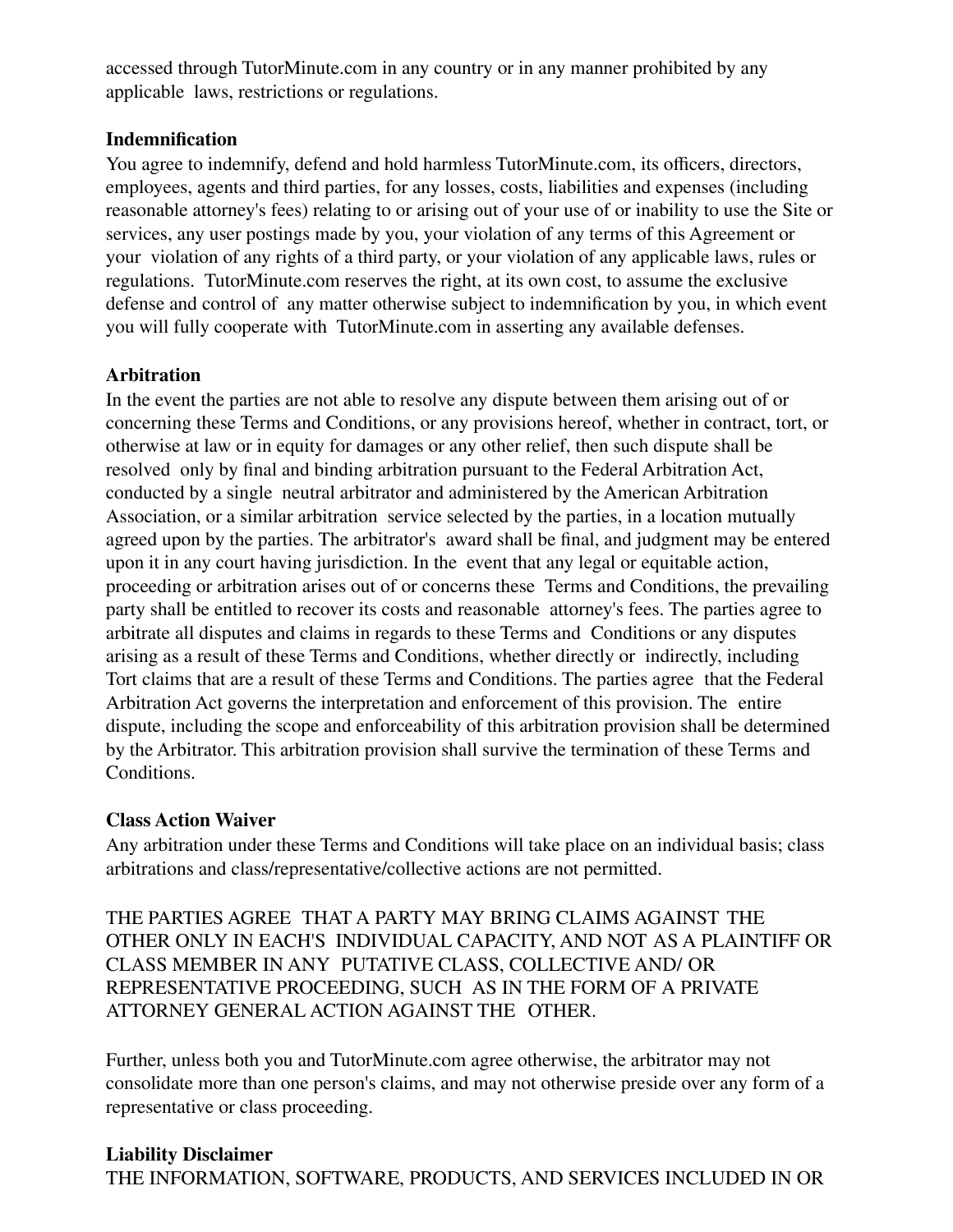accessed through TutorMinute.com in any country or in any manner prohibited by any applicable laws, restrictions or regulations.

#### **Indemnification**

You agree to indemnify, defend and hold harmless TutorMinute.com, its officers, directors, employees, agents and third parties, for any losses, costs, liabilities and expenses (including reasonable attorney's fees) relating to or arising out of your use of or inability to use the Site or services, any user postings made by you, your violation of any terms of this Agreement or your violation of any rights of a third party, or your violation of any applicable laws, rules or regulations. TutorMinute.com reserves the right, at its own cost, to assume the exclusive defense and control of any matter otherwise subject to indemnification by you, in which event you will fully cooperate with TutorMinute.com in asserting any available defenses.

# **Arbitration**

In the event the parties are not able to resolve any dispute between them arising out of or concerning these Terms and Conditions, or any provisions hereof, whether in contract, tort, or otherwise at law or in equity for damages or any other relief, then such dispute shall be resolved only by final and binding arbitration pursuant to the Federal Arbitration Act, conducted by a single neutral arbitrator and administered by the American Arbitration Association, or a similar arbitration service selected by the parties, in a location mutually agreed upon by the parties. The arbitrator's award shall be final, and judgment may be entered upon it in any court having jurisdiction. In the event that any legal or equitable action, proceeding or arbitration arises out of or concerns these Terms and Conditions, the prevailing party shall be entitled to recover its costs and reasonable attorney's fees. The parties agree to arbitrate all disputes and claims in regards to these Terms and Conditions or any disputes arising as a result of these Terms and Conditions, whether directly or indirectly, including Tort claims that are a result of these Terms and Conditions. The parties agree that the Federal Arbitration Act governs the interpretation and enforcement of this provision. The entire dispute, including the scope and enforceability of this arbitration provision shall be determined by the Arbitrator. This arbitration provision shall survive the termination of these Terms and Conditions.

# **Class Action Waiver**

Any arbitration under these Terms and Conditions will take place on an individual basis; class arbitrations and class/representative/collective actions are not permitted.

THE PARTIES AGREE THAT A PARTY MAY BRING CLAIMS AGAINST THE OTHER ONLY IN EACH'S INDIVIDUAL CAPACITY, AND NOT AS A PLAINTIFF OR CLASS MEMBER IN ANY PUTATIVE CLASS, COLLECTIVE AND/ OR REPRESENTATIVE PROCEEDING, SUCH AS IN THE FORM OF A PRIVATE ATTORNEY GENERAL ACTION AGAINST THE OTHER.

Further, unless both you and TutorMinute.com agree otherwise, the arbitrator may not consolidate more than one person's claims, and may not otherwise preside over any form of a representative or class proceeding.

# **Liability Disclaimer**

THE INFORMATION, SOFTWARE, PRODUCTS, AND SERVICES INCLUDED IN OR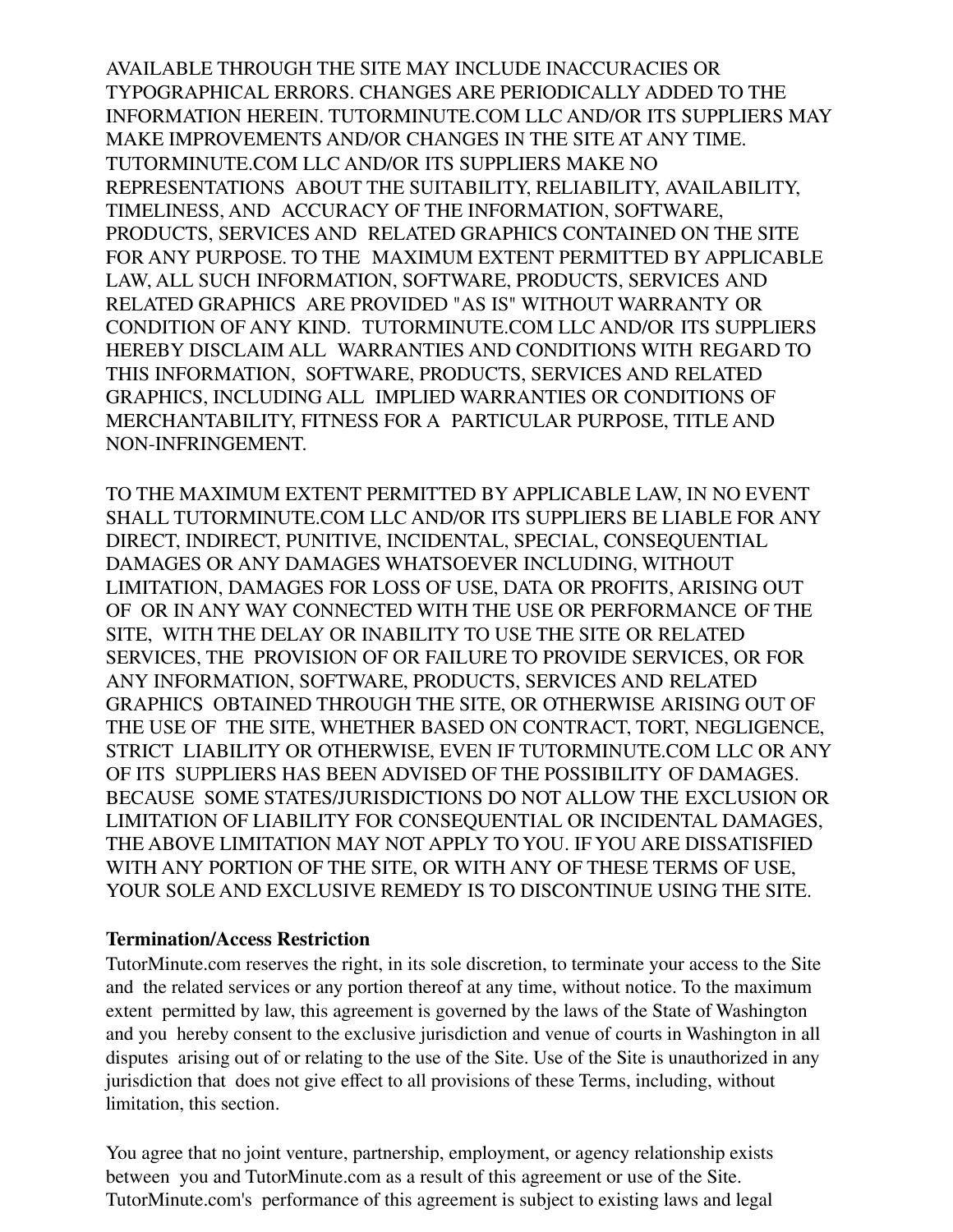AVAILABLE THROUGH THE SITE MAY INCLUDE INACCURACIES OR TYPOGRAPHICAL ERRORS. CHANGES ARE PERIODICALLY ADDED TO THE INFORMATION HEREIN. TUTORMINUTE.COM LLC AND/OR ITS SUPPLIERS MAY MAKE IMPROVEMENTS AND/OR CHANGES IN THE SITE AT ANY TIME. TUTORMINUTE.COM LLC AND/OR ITS SUPPLIERS MAKE NO REPRESENTATIONS ABOUT THE SUITABILITY, RELIABILITY, AVAILABILITY, TIMELINESS, AND ACCURACY OF THE INFORMATION, SOFTWARE, PRODUCTS, SERVICES AND RELATED GRAPHICS CONTAINED ON THE SITE FOR ANY PURPOSE. TO THE MAXIMUM EXTENT PERMITTED BY APPLICABLE LAW, ALL SUCH INFORMATION, SOFTWARE, PRODUCTS, SERVICES AND RELATED GRAPHICS ARE PROVIDED "AS IS" WITHOUT WARRANTY OR CONDITION OF ANY KIND. TUTORMINUTE.COM LLC AND/OR ITS SUPPLIERS HEREBY DISCLAIM ALL WARRANTIES AND CONDITIONS WITH REGARD TO THIS INFORMATION, SOFTWARE, PRODUCTS, SERVICES AND RELATED GRAPHICS, INCLUDING ALL IMPLIED WARRANTIES OR CONDITIONS OF MERCHANTABILITY, FITNESS FOR A PARTICULAR PURPOSE, TITLE AND NON-INFRINGEMENT.

TO THE MAXIMUM EXTENT PERMITTED BY APPLICABLE LAW, IN NO EVENT SHALL TUTORMINUTE.COM LLC AND/OR ITS SUPPLIERS BE LIABLE FOR ANY DIRECT, INDIRECT, PUNITIVE, INCIDENTAL, SPECIAL, CONSEQUENTIAL DAMAGES OR ANY DAMAGES WHATSOEVER INCLUDING, WITHOUT LIMITATION, DAMAGES FOR LOSS OF USE, DATA OR PROFITS, ARISING OUT OF OR IN ANY WAY CONNECTED WITH THE USE OR PERFORMANCE OF THE SITE, WITH THE DELAY OR INABILITY TO USE THE SITE OR RELATED SERVICES, THE PROVISION OF OR FAILURE TO PROVIDE SERVICES, OR FOR ANY INFORMATION, SOFTWARE, PRODUCTS, SERVICES AND RELATED GRAPHICS OBTAINED THROUGH THE SITE, OR OTHERWISE ARISING OUT OF THE USE OF THE SITE, WHETHER BASED ON CONTRACT, TORT, NEGLIGENCE, STRICT LIABILITY OR OTHERWISE, EVEN IF TUTORMINUTE.COM LLC OR ANY OF ITS SUPPLIERS HAS BEEN ADVISED OF THE POSSIBILITY OF DAMAGES. BECAUSE SOME STATES/JURISDICTIONS DO NOT ALLOW THE EXCLUSION OR LIMITATION OF LIABILITY FOR CONSEQUENTIAL OR INCIDENTAL DAMAGES, THE ABOVE LIMITATION MAY NOT APPLY TO YOU. IF YOU ARE DISSATISFIED WITH ANY PORTION OF THE SITE, OR WITH ANY OF THESE TERMS OF USE, YOUR SOLE AND EXCLUSIVE REMEDY IS TO DISCONTINUE USING THE SITE.

#### **Termination/Access Restriction**

TutorMinute.com reserves the right, in its sole discretion, to terminate your access to the Site and the related services or any portion thereof at any time, without notice. To the maximum extent permitted by law, this agreement is governed by the laws of the State of Washington and you hereby consent to the exclusive jurisdiction and venue of courts in Washington in all disputes arising out of or relating to the use of the Site. Use of the Site is unauthorized in any jurisdiction that does not give effect to all provisions of these Terms, including, without limitation, this section.

You agree that no joint venture, partnership, employment, or agency relationship exists between you and TutorMinute.com as a result of this agreement or use of the Site. TutorMinute.com's performance of this agreement is subject to existing laws and legal